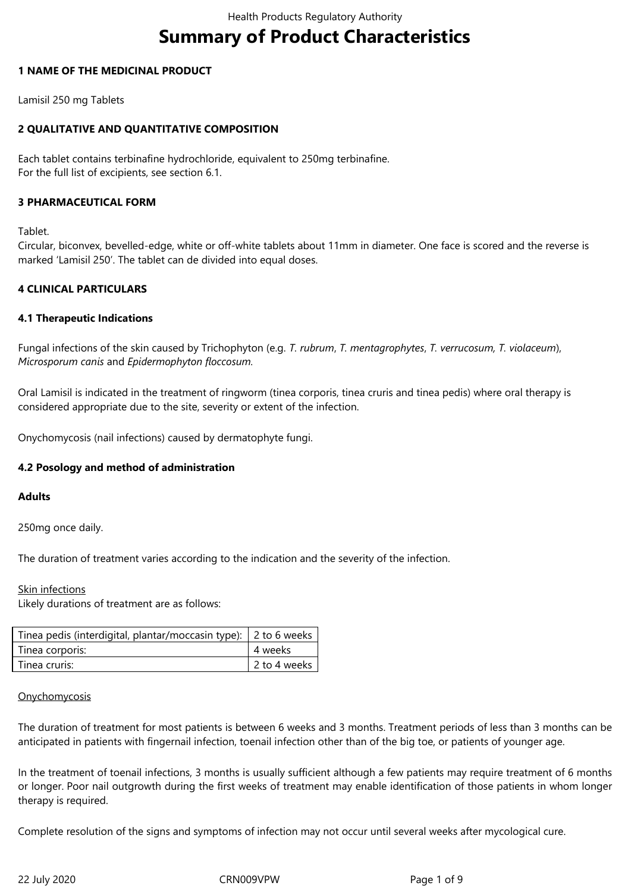# **Summary of Product Characteristics**

# **1 NAME OF THE MEDICINAL PRODUCT**

Lamisil 250 mg Tablets

# **2 QUALITATIVE AND QUANTITATIVE COMPOSITION**

Each tablet contains terbinafine hydrochloride, equivalent to 250mg terbinafine. For the full list of excipients, see section 6.1.

# **3 PHARMACEUTICAL FORM**

Tablet.

Circular, biconvex, bevelled-edge, white or off-white tablets about 11mm in diameter. One face is scored and the reverse is marked 'Lamisil 250'. The tablet can de divided into equal doses.

# **4 CLINICAL PARTICULARS**

# **4.1 Therapeutic Indications**

Fungal infections of the skin caused by Trichophyton (e.g. *T. rubrum*, *T. mentagrophytes*, *T. verrucosum, T. violaceum*), *Microsporum canis* and *Epidermophyton floccosum.*

Oral Lamisil is indicated in the treatment of ringworm (tinea corporis, tinea cruris and tinea pedis) where oral therapy is considered appropriate due to the site, severity or extent of the infection.

Onychomycosis (nail infections) caused by dermatophyte fungi.

# **4.2 Posology and method of administration**

## **Adults**

250mg once daily.

The duration of treatment varies according to the indication and the severity of the infection.

## Skin infections

Likely durations of treatment are as follows:

| Tinea pedis (interdigital, plantar/moccasin type):   2 to 6 weeks |              |
|-------------------------------------------------------------------|--------------|
| Tinea corporis:                                                   | 4 weeks      |
| Tinea cruris:                                                     | 2 to 4 weeks |

## **Onychomycosis**

The duration of treatment for most patients is between 6 weeks and 3 months. Treatment periods of less than 3 months can be anticipated in patients with fingernail infection, toenail infection other than of the big toe, or patients of younger age.

In the treatment of toenail infections, 3 months is usually sufficient although a few patients may require treatment of 6 months or longer. Poor nail outgrowth during the first weeks of treatment may enable identification of those patients in whom longer therapy is required.

Complete resolution of the signs and symptoms of infection may not occur until several weeks after mycological cure.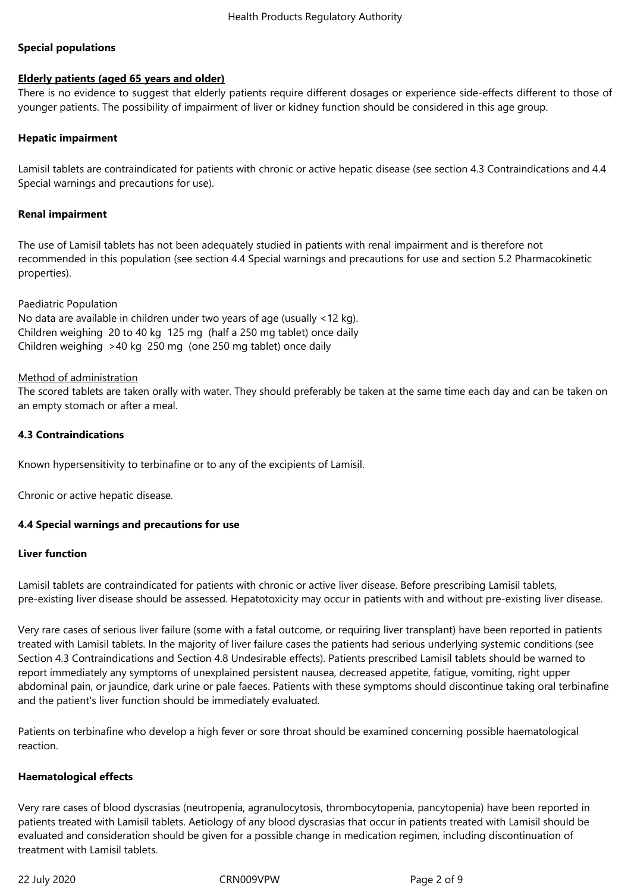# **Special populations**

# **Elderly patients (aged 65 years and older)**

There is no evidence to suggest that elderly patients require different dosages or experience side-effects different to those of younger patients. The possibility of impairment of liver or kidney function should be considered in this age group.

## **Hepatic impairment**

Lamisil tablets are contraindicated for patients with chronic or active hepatic disease (see section 4.3 Contraindications and 4.4 Special warnings and precautions for use).

## **Renal impairment**

The use of Lamisil tablets has not been adequately studied in patients with renal impairment and is therefore not recommended in this population (see section 4.4 Special warnings and precautions for use and section 5.2 Pharmacokinetic properties).

Paediatric Population

No data are available in children under two years of age (usually <12 kg). Children weighing 20 to 40 kg 125 mg (half a 250 mg tablet) once daily Children weighing >40 kg 250 mg (one 250 mg tablet) once daily

## Method of administration

The scored tablets are taken orally with water. They should preferably be taken at the same time each day and can be taken on an empty stomach or after a meal.

# **4.3 Contraindications**

Known hypersensitivity to terbinafine or to any of the excipients of Lamisil.

Chronic or active hepatic disease.

## **4.4 Special warnings and precautions for use**

# **Liver function**

Lamisil tablets are contraindicated for patients with chronic or active liver disease. Before prescribing Lamisil tablets, pre-existing liver disease should be assessed. Hepatotoxicity may occur in patients with and without pre-existing liver disease.

Very rare cases of serious liver failure (some with a fatal outcome, or requiring liver transplant) have been reported in patients treated with Lamisil tablets. In the majority of liver failure cases the patients had serious underlying systemic conditions (see Section 4.3 Contraindications and Section 4.8 Undesirable effects). Patients prescribed Lamisil tablets should be warned to report immediately any symptoms of unexplained persistent nausea, decreased appetite, fatigue, vomiting, right upper abdominal pain, or jaundice, dark urine or pale faeces. Patients with these symptoms should discontinue taking oral terbinafine and the patient's liver function should be immediately evaluated.

Patients on terbinafine who develop a high fever or sore throat should be examined concerning possible haematological reaction.

## **Haematological effects**

Very rare cases of blood dyscrasias (neutropenia, agranulocytosis, thrombocytopenia, pancytopenia) have been reported in patients treated with Lamisil tablets. Aetiology of any blood dyscrasias that occur in patients treated with Lamisil should be evaluated and consideration should be given for a possible change in medication regimen, including discontinuation of treatment with Lamisil tablets.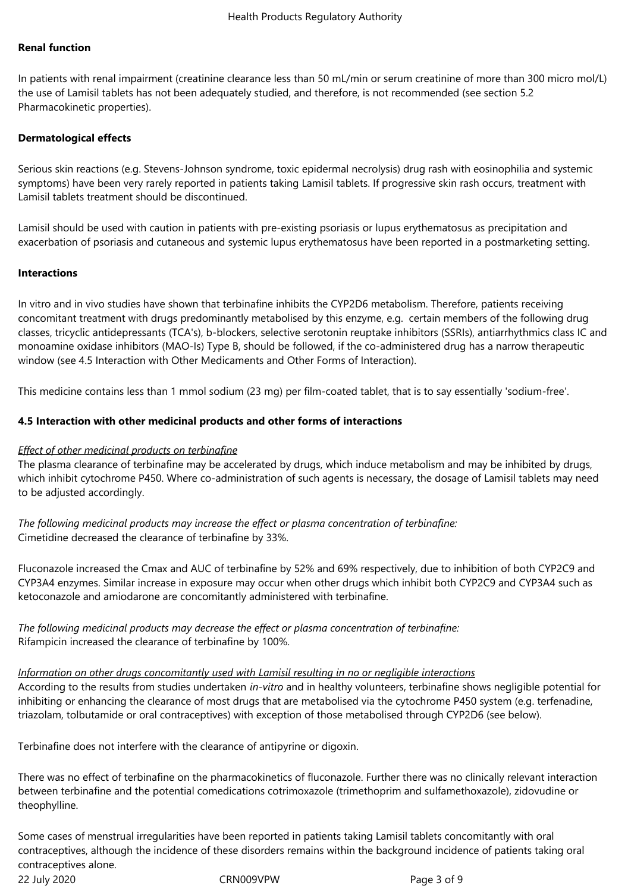## **Renal function**

In patients with renal impairment (creatinine clearance less than 50 mL/min or serum creatinine of more than 300 micro mol/L) the use of Lamisil tablets has not been adequately studied, and therefore, is not recommended (see section 5.2 Pharmacokinetic properties).

## **Dermatological effects**

Serious skin reactions (e.g. Stevens-Johnson syndrome, toxic epidermal necrolysis) drug rash with eosinophilia and systemic symptoms) have been very rarely reported in patients taking Lamisil tablets. If progressive skin rash occurs, treatment with Lamisil tablets treatment should be discontinued.

Lamisil should be used with caution in patients with pre-existing psoriasis or lupus erythematosus as precipitation and exacerbation of psoriasis and cutaneous and systemic lupus erythematosus have been reported in a postmarketing setting.

## **Interactions**

In vitro and in vivo studies have shown that terbinafine inhibits the CYP2D6 metabolism. Therefore, patients receiving concomitant treatment with drugs predominantly metabolised by this enzyme, e.g. certain members of the following drug classes, tricyclic antidepressants (TCA's), b-blockers, selective serotonin reuptake inhibitors (SSRIs), antiarrhythmics class IC and monoamine oxidase inhibitors (MAO-Is) Type B, should be followed, if the co-administered drug has a narrow therapeutic window (see 4.5 Interaction with Other Medicaments and Other Forms of Interaction).

This medicine contains less than 1 mmol sodium (23 mg) per film-coated tablet, that is to say essentially 'sodium-free'.

# **4.5 Interaction with other medicinal products and other forms of interactions**

## *Effect of other medicinal products on terbinafine*

The plasma clearance of terbinafine may be accelerated by drugs, which induce metabolism and may be inhibited by drugs, which inhibit cytochrome P450. Where co-administration of such agents is necessary, the dosage of Lamisil tablets may need to be adjusted accordingly.

*The following medicinal products may increase the effect or plasma concentration of terbinafine:* Cimetidine decreased the clearance of terbinafine by 33%.

Fluconazole increased the Cmax and AUC of terbinafine by 52% and 69% respectively, due to inhibition of both CYP2C9 and CYP3A4 enzymes. Similar increase in exposure may occur when other drugs which inhibit both CYP2C9 and CYP3A4 such as ketoconazole and amiodarone are concomitantly administered with terbinafine.

*The following medicinal products may decrease the effect or plasma concentration of terbinafine:* Rifampicin increased the clearance of terbinafine by 100%.

*Information on other drugs concomitantly used with Lamisil resulting in no or negligible interactions* According to the results from studies undertaken *in-vitro* and in healthy volunteers, terbinafine shows negligible potential for inhibiting or enhancing the clearance of most drugs that are metabolised via the cytochrome P450 system (e.g. terfenadine, triazolam, tolbutamide or oral contraceptives) with exception of those metabolised through CYP2D6 (see below).

Terbinafine does not interfere with the clearance of antipyrine or digoxin.

There was no effect of terbinafine on the pharmacokinetics of fluconazole. Further there was no clinically relevant interaction between terbinafine and the potential comedications cotrimoxazole (trimethoprim and sulfamethoxazole), zidovudine or theophylline.

22 July 2020 CRN009VPW Page 3 of 9 Some cases of menstrual irregularities have been reported in patients taking Lamisil tablets concomitantly with oral contraceptives, although the incidence of these disorders remains within the background incidence of patients taking oral contraceptives alone.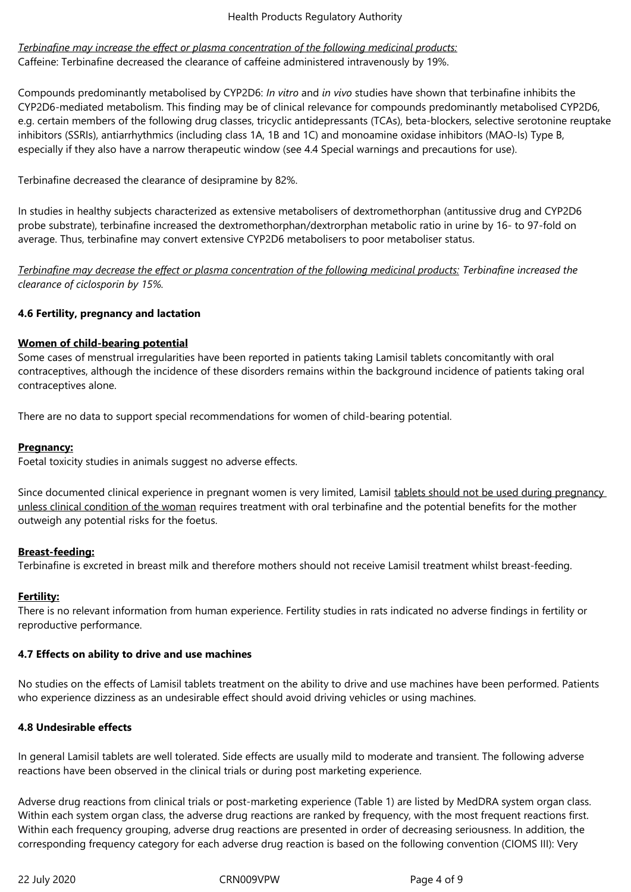*Terbinafine may increase the effect or plasma concentration of the following medicinal products:* Caffeine: Terbinafine decreased the clearance of caffeine administered intravenously by 19%.

Compounds predominantly metabolised by CYP2D6: *In vitro* and *in vivo* studies have shown that terbinafine inhibits the CYP2D6-mediated metabolism. This finding may be of clinical relevance for compounds predominantly metabolised CYP2D6, e.g. certain members of the following drug classes, tricyclic antidepressants (TCAs), beta-blockers, selective serotonine reuptake inhibitors (SSRIs), antiarrhythmics (including class 1A, 1B and 1C) and monoamine oxidase inhibitors (MAO-Is) Type B, especially if they also have a narrow therapeutic window (see 4.4 Special warnings and precautions for use).

Terbinafine decreased the clearance of desipramine by 82%.

In studies in healthy subjects characterized as extensive metabolisers of dextromethorphan (antitussive drug and CYP2D6 probe substrate), terbinafine increased the dextromethorphan/dextrorphan metabolic ratio in urine by 16- to 97-fold on average. Thus, terbinafine may convert extensive CYP2D6 metabolisers to poor metaboliser status.

*Terbinafine may decrease the effect or plasma concentration of the following medicinal products: Terbinafine increased the clearance of ciclosporin by 15%.* 

# **4.6 Fertility, pregnancy and lactation**

# **Women of child-bearing potential**

Some cases of menstrual irregularities have been reported in patients taking Lamisil tablets concomitantly with oral contraceptives, although the incidence of these disorders remains within the background incidence of patients taking oral contraceptives alone.

There are no data to support special recommendations for women of child-bearing potential.

## **Pregnancy:**

Foetal toxicity studies in animals suggest no adverse effects.

Since documented clinical experience in pregnant women is very limited, Lamisil tablets should not be used during pregnancy unless clinical condition of the woman requires treatment with oral terbinafine and the potential benefits for the mother outweigh any potential risks for the foetus.

# **Breast-feeding:**

Terbinafine is excreted in breast milk and therefore mothers should not receive Lamisil treatment whilst breast-feeding.

## **Fertility:**

There is no relevant information from human experience. Fertility studies in rats indicated no adverse findings in fertility or reproductive performance.

## **4.7 Effects on ability to drive and use machines**

No studies on the effects of Lamisil tablets treatment on the ability to drive and use machines have been performed. Patients who experience dizziness as an undesirable effect should avoid driving vehicles or using machines.

## **4.8 Undesirable effects**

In general Lamisil tablets are well tolerated. Side effects are usually mild to moderate and transient. The following adverse reactions have been observed in the clinical trials or during post marketing experience.

Adverse drug reactions from clinical trials or post-marketing experience (Table 1) are listed by MedDRA system organ class. Within each system organ class, the adverse drug reactions are ranked by frequency, with the most frequent reactions first. Within each frequency grouping, adverse drug reactions are presented in order of decreasing seriousness. In addition, the corresponding frequency category for each adverse drug reaction is based on the following convention (CIOMS III): Very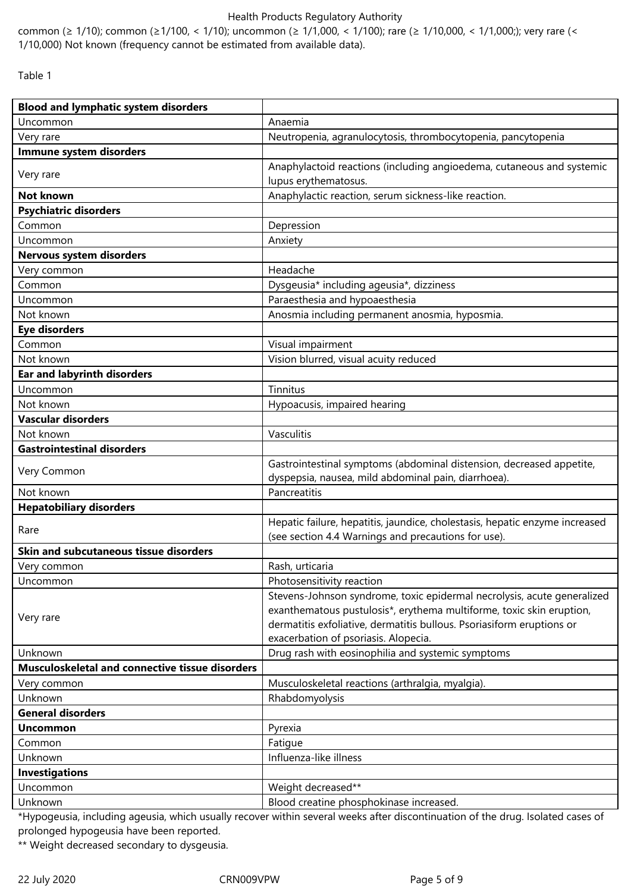common (≥ 1/10); common (≥1/100, < 1/10); uncommon (≥ 1/1,000, < 1/100); rare (≥ 1/10,000, < 1/1,000;); very rare (< 1/10,000) Not known (frequency cannot be estimated from available data).

Table 1

| <b>Blood and lymphatic system disorders</b>     |                                                                             |  |  |  |
|-------------------------------------------------|-----------------------------------------------------------------------------|--|--|--|
| Uncommon                                        | Anaemia                                                                     |  |  |  |
| Very rare                                       | Neutropenia, agranulocytosis, thrombocytopenia, pancytopenia                |  |  |  |
| Immune system disorders                         |                                                                             |  |  |  |
| Very rare                                       | Anaphylactoid reactions (including angioedema, cutaneous and systemic       |  |  |  |
|                                                 | lupus erythematosus.                                                        |  |  |  |
| <b>Not known</b>                                | Anaphylactic reaction, serum sickness-like reaction.                        |  |  |  |
| <b>Psychiatric disorders</b>                    |                                                                             |  |  |  |
| Common                                          | Depression                                                                  |  |  |  |
| Uncommon                                        | Anxiety                                                                     |  |  |  |
| Nervous system disorders                        |                                                                             |  |  |  |
| Very common                                     | Headache                                                                    |  |  |  |
| Common                                          | Dysgeusia* including ageusia*, dizziness                                    |  |  |  |
| Uncommon                                        | Paraesthesia and hypoaesthesia                                              |  |  |  |
| Not known                                       | Anosmia including permanent anosmia, hyposmia.                              |  |  |  |
| <b>Eye disorders</b>                            |                                                                             |  |  |  |
| Common                                          | Visual impairment                                                           |  |  |  |
| Not known                                       | Vision blurred, visual acuity reduced                                       |  |  |  |
| <b>Ear and labyrinth disorders</b>              |                                                                             |  |  |  |
| Uncommon                                        | Tinnitus                                                                    |  |  |  |
| Not known                                       | Hypoacusis, impaired hearing                                                |  |  |  |
| <b>Vascular disorders</b>                       |                                                                             |  |  |  |
| Not known                                       | Vasculitis                                                                  |  |  |  |
| <b>Gastrointestinal disorders</b>               |                                                                             |  |  |  |
| Very Common                                     | Gastrointestinal symptoms (abdominal distension, decreased appetite,        |  |  |  |
|                                                 | dyspepsia, nausea, mild abdominal pain, diarrhoea).                         |  |  |  |
| Not known                                       | Pancreatitis                                                                |  |  |  |
| <b>Hepatobiliary disorders</b>                  |                                                                             |  |  |  |
| Rare                                            | Hepatic failure, hepatitis, jaundice, cholestasis, hepatic enzyme increased |  |  |  |
|                                                 | (see section 4.4 Warnings and precautions for use).                         |  |  |  |
| Skin and subcutaneous tissue disorders          |                                                                             |  |  |  |
| Very common                                     | Rash, urticaria                                                             |  |  |  |
| Uncommon                                        | Photosensitivity reaction                                                   |  |  |  |
|                                                 | Stevens-Johnson syndrome, toxic epidermal necrolysis, acute generalized     |  |  |  |
| Very rare                                       | exanthematous pustulosis*, erythema multiforme, toxic skin eruption,        |  |  |  |
|                                                 | dermatitis exfoliative, dermatitis bullous. Psoriasiform eruptions or       |  |  |  |
|                                                 | exacerbation of psoriasis. Alopecia.                                        |  |  |  |
| Unknown                                         | Drug rash with eosinophilia and systemic symptoms                           |  |  |  |
| Musculoskeletal and connective tissue disorders |                                                                             |  |  |  |
| Very common                                     | Musculoskeletal reactions (arthralgia, myalgia).                            |  |  |  |
| Unknown                                         | Rhabdomyolysis                                                              |  |  |  |
| <b>General disorders</b>                        |                                                                             |  |  |  |
| <b>Uncommon</b>                                 | Pyrexia                                                                     |  |  |  |
| Common                                          | Fatigue                                                                     |  |  |  |
| Unknown                                         | Influenza-like illness                                                      |  |  |  |
| <b>Investigations</b>                           |                                                                             |  |  |  |
| Uncommon                                        | Weight decreased**                                                          |  |  |  |
| Unknown                                         | Blood creatine phosphokinase increased.                                     |  |  |  |

\*Hypogeusia, including ageusia, which usually recover within several weeks after discontinuation of the drug. Isolated cases of prolonged hypogeusia have been reported.

\*\* Weight decreased secondary to dysgeusia.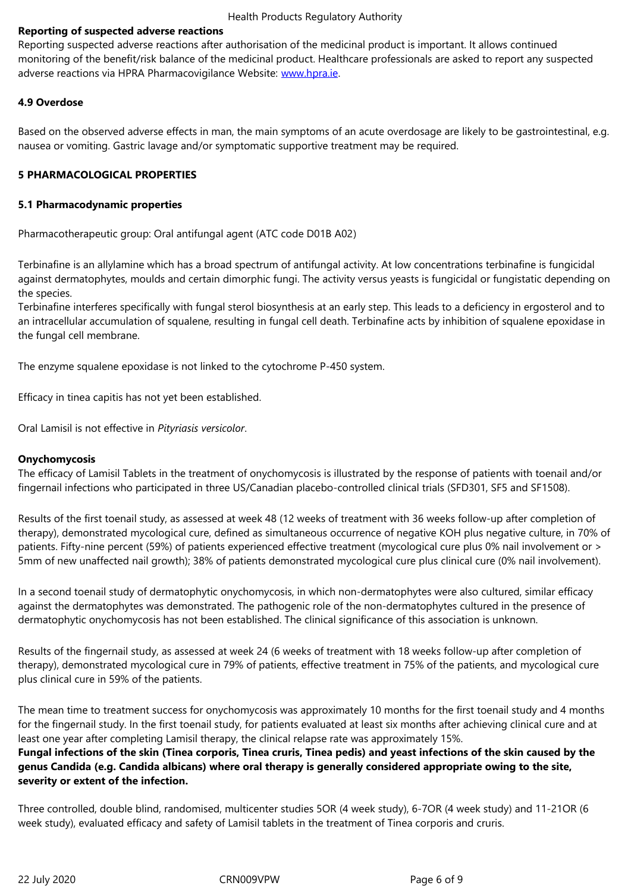monitoring of the benefit/risk balance of the medicinal product. Healthcare professionals are asked to report any suspected adverse reactions via HPRA Pharmacovigilance Website: www.hpra.ie.

# **4.9 Overdose**

Based on the observed adverse effects in man, the main [symptoms o](http://www.hpra.ie/)f an acute overdosage are likely to be gastrointestinal, e.g. nausea or vomiting. Gastric lavage and/or symptomatic supportive treatment may be required.

# **5 PHARMACOLOGICAL PROPERTIES**

## **5.1 Pharmacodynamic properties**

Pharmacotherapeutic group: Oral antifungal agent (ATC code D01B A02)

Terbinafine is an allylamine which has a broad spectrum of antifungal activity. At low concentrations terbinafine is fungicidal against dermatophytes, moulds and certain dimorphic fungi. The activity versus yeasts is fungicidal or fungistatic depending on the species.

Terbinafine interferes specifically with fungal sterol biosynthesis at an early step. This leads to a deficiency in ergosterol and to an intracellular accumulation of squalene, resulting in fungal cell death. Terbinafine acts by inhibition of squalene epoxidase in the fungal cell membrane.

The enzyme squalene epoxidase is not linked to the cytochrome P-450 system.

Efficacy in tinea capitis has not yet been established.

Oral Lamisil is not effective in *Pityriasis versicolor*.

## **Onychomycosis**

The efficacy of Lamisil Tablets in the treatment of onychomycosis is illustrated by the response of patients with toenail and/or fingernail infections who participated in three US/Canadian placebo-controlled clinical trials (SFD301, SF5 and SF1508).

Results of the first toenail study, as assessed at week 48 (12 weeks of treatment with 36 weeks follow-up after completion of therapy), demonstrated mycological cure, defined as simultaneous occurrence of negative KOH plus negative culture, in 70% of patients. Fifty-nine percent (59%) of patients experienced effective treatment (mycological cure plus 0% nail involvement or > 5mm of new unaffected nail growth); 38% of patients demonstrated mycological cure plus clinical cure (0% nail involvement).

In a second toenail study of dermatophytic onychomycosis, in which non-dermatophytes were also cultured, similar efficacy against the dermatophytes was demonstrated. The pathogenic role of the non-dermatophytes cultured in the presence of dermatophytic onychomycosis has not been established. The clinical significance of this association is unknown.

Results of the fingernail study, as assessed at week 24 (6 weeks of treatment with 18 weeks follow-up after completion of therapy), demonstrated mycological cure in 79% of patients, effective treatment in 75% of the patients, and mycological cure plus clinical cure in 59% of the patients.

The mean time to treatment success for onychomycosis was approximately 10 months for the first toenail study and 4 months for the fingernail study. In the first toenail study, for patients evaluated at least six months after achieving clinical cure and at least one year after completing Lamisil therapy, the clinical relapse rate was approximately 15%.

**Fungal infections of the skin (Tinea corporis, Tinea cruris, Tinea pedis) and yeast infections of the skin caused by the genus Candida (e.g. Candida albicans) where oral therapy is generally considered appropriate owing to the site, severity or extent of the infection.**

Three controlled, double blind, randomised, multicenter studies 5OR (4 week study), 6-7OR (4 week study) and 11-21OR (6 week study), evaluated efficacy and safety of Lamisil tablets in the treatment of Tinea corporis and cruris.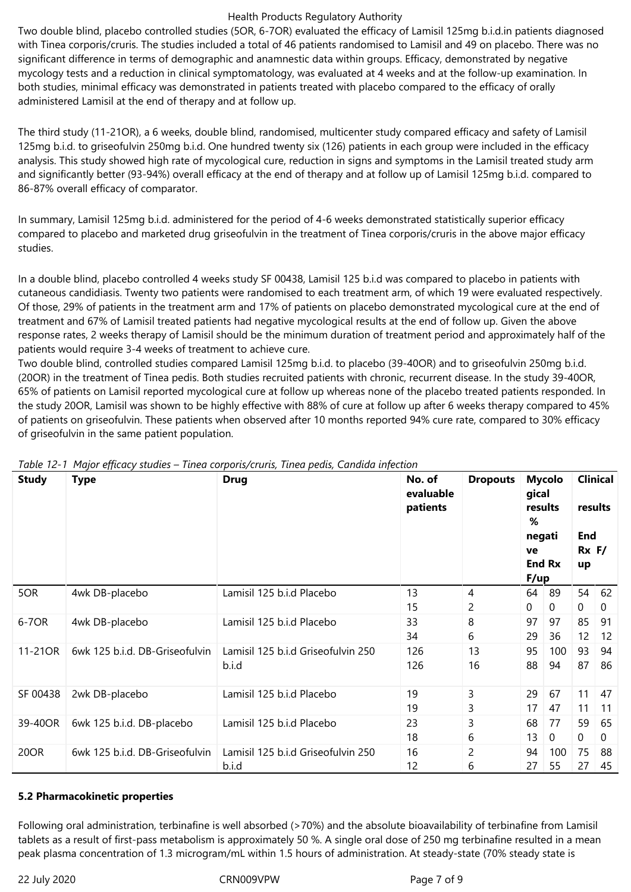Two double blind, placebo controlled studies (5OR, 6-7OR) evaluated the efficacy of Lamisil 125mg b.i.d.in patients diagnosed with Tinea corporis/cruris. The studies included a total of 46 patients randomised to Lamisil and 49 on placebo. There was no significant difference in terms of demographic and anamnestic data within groups. Efficacy, demonstrated by negative mycology tests and a reduction in clinical symptomatology, was evaluated at 4 weeks and at the follow-up examination. In both studies, minimal efficacy was demonstrated in patients treated with placebo compared to the efficacy of orally administered Lamisil at the end of therapy and at follow up.

The third study (11-21OR), a 6 weeks, double blind, randomised, multicenter study compared efficacy and safety of Lamisil 125mg b.i.d. to griseofulvin 250mg b.i.d. One hundred twenty six (126) patients in each group were included in the efficacy analysis. This study showed high rate of mycological cure, reduction in signs and symptoms in the Lamisil treated study arm and significantly better (93-94%) overall efficacy at the end of therapy and at follow up of Lamisil 125mg b.i.d. compared to 86-87% overall efficacy of comparator.

In summary, Lamisil 125mg b.i.d. administered for the period of 4-6 weeks demonstrated statistically superior efficacy compared to placebo and marketed drug griseofulvin in the treatment of Tinea corporis/cruris in the above major efficacy studies.

In a double blind, placebo controlled 4 weeks study SF 00438, Lamisil 125 b.i.d was compared to placebo in patients with cutaneous candidiasis. Twenty two patients were randomised to each treatment arm, of which 19 were evaluated respectively. Of those, 29% of patients in the treatment arm and 17% of patients on placebo demonstrated mycological cure at the end of treatment and 67% of Lamisil treated patients had negative mycological results at the end of follow up. Given the above response rates, 2 weeks therapy of Lamisil should be the minimum duration of treatment period and approximately half of the patients would require 3-4 weeks of treatment to achieve cure.

Two double blind, controlled studies compared Lamisil 125mg b.i.d. to placebo (39-40OR) and to griseofulvin 250mg b.i.d. (20OR) in the treatment of Tinea pedis. Both studies recruited patients with chronic, recurrent disease. In the study 39-40OR, 65% of patients on Lamisil reported mycological cure at follow up whereas none of the placebo treated patients responded. In the study 20OR, Lamisil was shown to be highly effective with 88% of cure at follow up after 6 weeks therapy compared to 45% of patients on griseofulvin. These patients when observed after 10 months reported 94% cure rate, compared to 30% efficacy of griseofulvin in the same patient population.

| <b>Study</b> | <b>Type</b>                    | <b>Drug</b>                                 | No. of<br>evaluable<br>patients | <b>Dropouts</b> | <b>Mycolo</b><br>gical<br>results<br>%<br>negati<br>ve<br><b>End Rx</b><br>F/up |                   | <b>Clinical</b><br>results<br><b>End</b><br>$Rx$ F/<br>up |          |
|--------------|--------------------------------|---------------------------------------------|---------------------------------|-----------------|---------------------------------------------------------------------------------|-------------------|-----------------------------------------------------------|----------|
| 5OR          | 4wk DB-placebo                 | Lamisil 125 b.i.d Placebo                   | 13<br>15                        | 4<br>2          | 64<br>$\mathbf 0$                                                               | 89<br>0           | 54<br>$\overline{0}$                                      | 62<br>0  |
| 6-70R        | 4wk DB-placebo                 | Lamisil 125 b.i.d Placebo                   | 33<br>34                        | 8<br>6          | 97<br>29                                                                        | 97<br>36          | 85<br>12                                                  | 91<br>12 |
| 11-21OR      | 6wk 125 b.i.d. DB-Griseofulvin | Lamisil 125 b.i.d Griseofulvin 250<br>b.i.d | 126<br>126                      | 13<br>16        | 95<br>88                                                                        | 100<br>94         | 93<br>87                                                  | 94<br>86 |
| SF 00438     | 2wk DB-placebo                 | Lamisil 125 b.i.d Placebo                   | 19<br>19                        | 3<br>3          | 29<br>17                                                                        | 67<br>47          | 11<br>11                                                  | 47<br>11 |
| 39-40OR      | 6wk 125 b.i.d. DB-placebo      | Lamisil 125 b.i.d Placebo                   | 23<br>18                        | 3<br>6          | 68<br>13                                                                        | 77<br>$\mathbf 0$ | 59<br>$\overline{0}$                                      | 65<br>0  |
| 20OR         | 6wk 125 b.i.d. DB-Griseofulvin | Lamisil 125 b.i.d Griseofulvin 250<br>b.i.d | 16<br>12                        | 2<br>6          | 94<br>27                                                                        | 100<br>55         | 75<br>27                                                  | 88<br>45 |

|  |  | Table 12-1 Major efficacy studies – Tinea corporis/cruris, Tinea pedis, Candida infection |
|--|--|-------------------------------------------------------------------------------------------|
|  |  |                                                                                           |

# **5.2 Pharmacokinetic properties**

Following oral administration, terbinafine is well absorbed (>70%) and the absolute bioavailability of terbinafine from Lamisil tablets as a result of first-pass metabolism is approximately 50 %. A single oral dose of 250 mg terbinafine resulted in a mean peak plasma concentration of 1.3 microgram/mL within 1.5 hours of administration. At steady-state (70% steady state is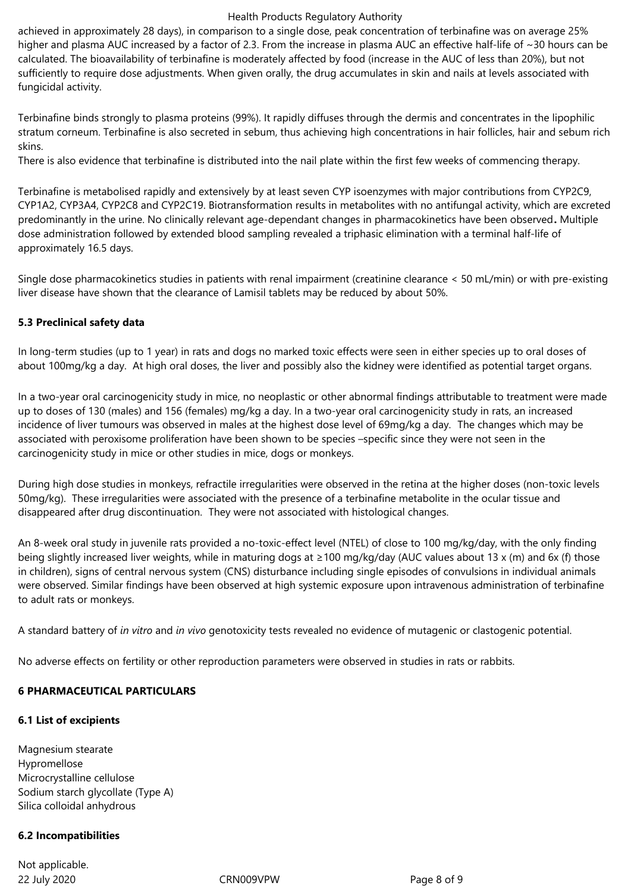achieved in approximately 28 days), in comparison to a single dose, peak concentration of terbinafine was on average 25% higher and plasma AUC increased by a factor of 2.3. From the increase in plasma AUC an effective half-life of ~30 hours can be calculated. The bioavailability of terbinafine is moderately affected by food (increase in the AUC of less than 20%), but not sufficiently to require dose adjustments. When given orally, the drug accumulates in skin and nails at levels associated with fungicidal activity.

Terbinafine binds strongly to plasma proteins (99%). It rapidly diffuses through the dermis and concentrates in the lipophilic stratum corneum. Terbinafine is also secreted in sebum, thus achieving high concentrations in hair follicles, hair and sebum rich skins.

There is also evidence that terbinafine is distributed into the nail plate within the first few weeks of commencing therapy.

Terbinafine is metabolised rapidly and extensively by at least seven CYP isoenzymes with major contributions from CYP2C9, CYP1A2, CYP3A4, CYP2C8 and CYP2C19. Biotransformation results in metabolites with no antifungal activity, which are excreted predominantly in the urine. No clinically relevant age-dependant changes in pharmacokinetics have been observed**.** Multiple dose administration followed by extended blood sampling revealed a triphasic elimination with a terminal half-life of approximately 16.5 days.

Single dose pharmacokinetics studies in patients with renal impairment (creatinine clearance < 50 mL/min) or with pre-existing liver disease have shown that the clearance of Lamisil tablets may be reduced by about 50%.

# **5.3 Preclinical safety data**

In long-term studies (up to 1 year) in rats and dogs no marked toxic effects were seen in either species up to oral doses of about 100mg/kg a day. At high oral doses, the liver and possibly also the kidney were identified as potential target organs.

In a two-year oral carcinogenicity study in mice, no neoplastic or other abnormal findings attributable to treatment were made up to doses of 130 (males) and 156 (females) mg/kg a day. In a two-year oral carcinogenicity study in rats, an increased incidence of liver tumours was observed in males at the highest dose level of 69mg/kg a day. The changes which may be associated with peroxisome proliferation have been shown to be species –specific since they were not seen in the carcinogenicity study in mice or other studies in mice, dogs or monkeys.

During high dose studies in monkeys, refractile irregularities were observed in the retina at the higher doses (non-toxic levels 50mg/kg). These irregularities were associated with the presence of a terbinafine metabolite in the ocular tissue and disappeared after drug discontinuation. They were not associated with histological changes.

An 8-week oral study in juvenile rats provided a no-toxic-effect level (NTEL) of close to 100 mg/kg/day, with the only finding being slightly increased liver weights, while in maturing dogs at ≥100 mg/kg/day (AUC values about 13 x (m) and 6x (f) those in children), signs of central nervous system (CNS) disturbance including single episodes of convulsions in individual animals were observed. Similar findings have been observed at high systemic exposure upon intravenous administration of terbinafine to adult rats or monkeys.

A standard battery of *in vitro* and *in vivo* genotoxicity tests revealed no evidence of mutagenic or clastogenic potential.

No adverse effects on fertility or other reproduction parameters were observed in studies in rats or rabbits.

## **6 PHARMACEUTICAL PARTICULARS**

## **6.1 List of excipients**

Magnesium stearate Hypromellose Microcrystalline cellulose Sodium starch glycollate (Type A) Silica colloidal anhydrous

## **6.2 Incompatibilities**

22 July 2020 CRN009VPW Page 8 of 9 Not applicable.